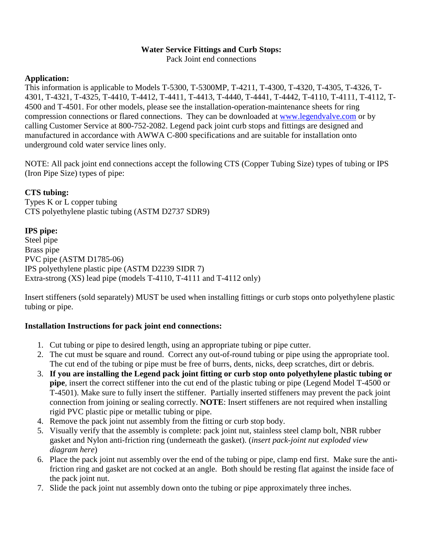## **Water Service Fittings and Curb Stops:**

Pack Joint end connections

### **Application:**

This information is applicable to Models T-5300, T-5300MP, T-4211, T-4300, T-4320, T-4305, T-4326, T-4301, T-4321, T-4325, T-4410, T-4412, T-4411, T-4413, T-4440, T-4441, T-4442, T-4110, T-4111, T-4112, T-4500 and T-4501. For other models, please see the installation-operation-maintenance sheets for ring compression connections or flared connections. They can be downloaded at www.legendvalve.com or by calling Customer Service at 800-752-2082. Legend pack joint curb stops and fittings are designed and manufactured in accordance with AWWA C-800 specifications and are suitable for installation onto underground cold water service lines only.

NOTE: All pack joint end connections accept the following CTS (Copper Tubing Size) types of tubing or IPS (Iron Pipe Size) types of pipe:

## **CTS tubing:**

Types K or L copper tubing CTS polyethylene plastic tubing (ASTM D2737 SDR9)

# **IPS pipe:**

Steel pipe Brass pipe PVC pipe (ASTM D1785-06) IPS polyethylene plastic pipe (ASTM D2239 SIDR 7) Extra-strong (XS) lead pipe (models T-4110, T-4111 and T-4112 only)

Insert stiffeners (sold separately) MUST be used when installing fittings or curb stops onto polyethylene plastic tubing or pipe.

#### **Installation Instructions for pack joint end connections:**

- 1. Cut tubing or pipe to desired length, using an appropriate tubing or pipe cutter.
- 2. The cut must be square and round. Correct any out-of-round tubing or pipe using the appropriate tool. The cut end of the tubing or pipe must be free of burrs, dents, nicks, deep scratches, dirt or debris.
- 3. **If you are installing the Legend pack joint fitting or curb stop onto polyethylene plastic tubing or pipe**, insert the correct stiffener into the cut end of the plastic tubing or pipe (Legend Model T-4500 or T-4501). Make sure to fully insert the stiffener. Partially inserted stiffeners may prevent the pack joint connection from joining or sealing correctly. **NOTE**: Insert stiffeners are not required when installing rigid PVC plastic pipe or metallic tubing or pipe.
- 4. Remove the pack joint nut assembly from the fitting or curb stop body.
- 5. Visually verify that the assembly is complete: pack joint nut, stainless steel clamp bolt, NBR rubber gasket and Nylon anti-friction ring (underneath the gasket). (*insert pack-joint nut exploded view diagram here*)
- 6. Place the pack joint nut assembly over the end of the tubing or pipe, clamp end first. Make sure the antifriction ring and gasket are not cocked at an angle. Both should be resting flat against the inside face of the pack joint nut.
- 7. Slide the pack joint nut assembly down onto the tubing or pipe approximately three inches.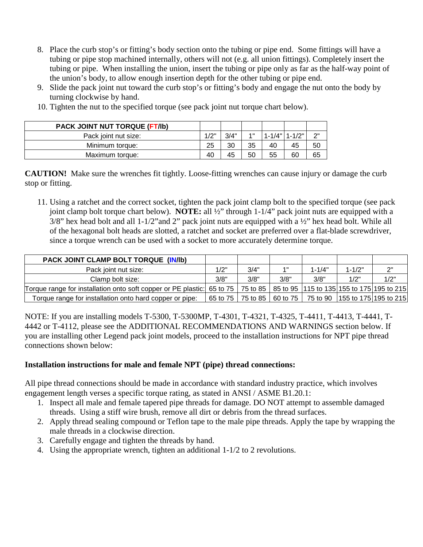- 8. Place the curb stop's or fitting's body section onto the tubing or pipe end. Some fittings will have a tubing or pipe stop machined internally, others will not (e.g. all union fittings). Completely insert the tubing or pipe. When installing the union, insert the tubing or pipe only as far as the half-way point of the union's body, to allow enough insertion depth for the other tubing or pipe end.
- 9. Slide the pack joint nut toward the curb stop's or fitting's body and engage the nut onto the body by turning clockwise by hand.

| <b>PACK JOINT NUT TORQUE (FT/Ib)</b> |      |      |       |                 |    |     |
|--------------------------------------|------|------|-------|-----------------|----|-----|
| Pack joint nut size:                 | 1/2" | 3/4" | $4$ H | 1-1/4"   1-1/2" |    | ייר |
| Minimum torque:                      | 25   | 30   | 35    | 40              | 45 | 50  |
| Maximum torque:                      | 40   | 45   | 50    | 55              | 60 | 65  |

10. Tighten the nut to the specified torque (see pack joint nut torque chart below).

**CAUTION!** Make sure the wrenches fit tightly. Loose-fitting wrenches can cause injury or damage the curb stop or fitting.

11. Using a ratchet and the correct socket, tighten the pack joint clamp bolt to the specified torque (see pack joint clamp bolt torque chart below). **NOTE:** all ½" through 1-1/4" pack joint nuts are equipped with a 3/8" hex head bolt and all 1-1/2"and 2" pack joint nuts are equipped with a ½" hex head bolt. While all of the hexagonal bolt heads are slotted, a ratchet and socket are preferred over a flat-blade screwdriver, since a torque wrench can be used with a socket to more accurately determine torque.

| PACK JOINT CLAMP BOLT TORQUE (IN/Ib)                                                                                                |      |      |            |                                                                                |            |      |
|-------------------------------------------------------------------------------------------------------------------------------------|------|------|------------|--------------------------------------------------------------------------------|------------|------|
| Pack joint nut size:                                                                                                                | 1/2" | 3/4" | <b>4 H</b> | $1 - 1/4"$                                                                     | $1 - 1/2"$ | ייר  |
| Clamp bolt size:                                                                                                                    | 3/8" | 3/8" | 3/8"       | 3/8"                                                                           | 1/2"       | 1/2" |
| Torque range for installation onto soft copper or PE plastic: 65 to 75   75 to 85   85 to 95   115 to 135   155 to 175   195 to 215 |      |      |            |                                                                                |            |      |
| Torque range for installation onto hard copper or pipe:                                                                             |      |      |            | <sup>1</sup> 65 to 75   75 to 85   60 to 75   75 to 90   155 to 175 195 to 215 |            |      |

NOTE: If you are installing models T-5300, T-5300MP, T-4301, T-4321, T-4325, T-4411, T-4413, T-4441, T-4442 or T-4112, please see the ADDITIONAL RECOMMENDATIONS AND WARNINGS section below. If you are installing other Legend pack joint models, proceed to the installation instructions for NPT pipe thread connections shown below:

# **Installation instructions for male and female NPT (pipe) thread connections:**

All pipe thread connections should be made in accordance with standard industry practice, which involves engagement length verses a specific torque rating, as stated in ANSI / ASME B1.20.1:

- 1. Inspect all male and female tapered pipe threads for damage. DO NOT attempt to assemble damaged threads. Using a stiff wire brush, remove all dirt or debris from the thread surfaces.
- 2. Apply thread sealing compound or Teflon tape to the male pipe threads. Apply the tape by wrapping the male threads in a clockwise direction.
- 3. Carefully engage and tighten the threads by hand.
- 4. Using the appropriate wrench, tighten an additional 1-1/2 to 2 revolutions.